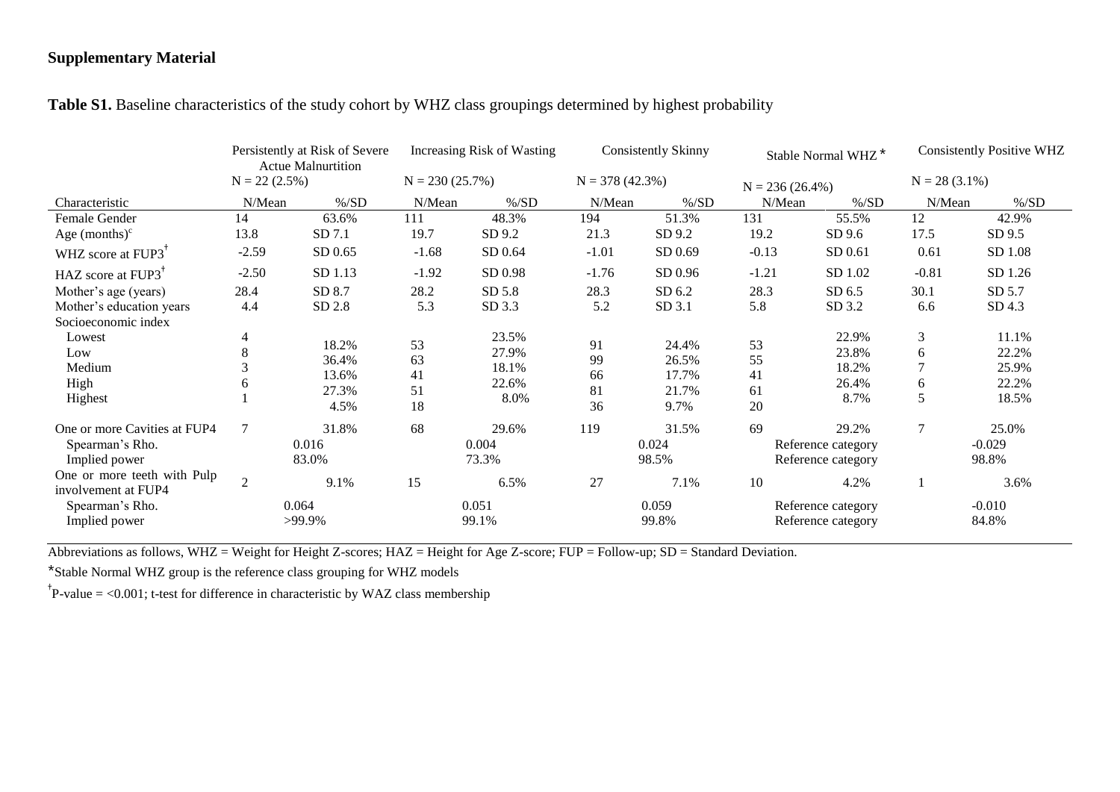#### **Supplementary Material**

|                                | Persistently at Risk of Severe<br><b>Actue Malnurtition</b><br>$N = 22$ (2.5%) |          | Increasing Risk of Wasting<br>$N = 230 (25.7%)$ |          | <b>Consistently Skinny</b><br>$N = 378(42.3%)$ |          | Stable Normal WHZ <sup>*</sup><br>$N = 236 (26.4\%)$ |                | <b>Consistently Positive WHZ</b><br>$N = 28$ (3.1%) |          |
|--------------------------------|--------------------------------------------------------------------------------|----------|-------------------------------------------------|----------|------------------------------------------------|----------|------------------------------------------------------|----------------|-----------------------------------------------------|----------|
|                                |                                                                                |          |                                                 |          |                                                |          |                                                      |                |                                                     |          |
| Characteristic                 | N/Mean                                                                         | $\%$ /SD | N/Mean                                          | $\%$ /SD | N/Mean                                         | $\%$ /SD | N/Mean                                               | $\%$ /SD       | N/Mean                                              | $\%$ /SD |
| Female Gender                  | 14                                                                             | 63.6%    | 111                                             | 48.3%    | 194                                            | 51.3%    | 131                                                  | 55.5%          | 12                                                  | 42.9%    |
| Age $(months)^c$               | 13.8                                                                           | SD 7.1   | 19.7                                            | SD 9.2   | 21.3                                           | SD 9.2   | 19.2                                                 | SD9.6          | 17.5                                                | SD 9.5   |
| WHZ score at FUP3 <sup>+</sup> | $-2.59$                                                                        | SD 0.65  | $-1.68$                                         | SD 0.64  | $-1.01$                                        | SD 0.69  | $-0.13$                                              | SD 0.61        | 0.61                                                | SD 1.08  |
| HAZ score at FUP3              | $-2.50$                                                                        | SD 1.13  | $-1.92$                                         | SD 0.98  | $-1.76$                                        | SD 0.96  | $-1.21$                                              | SD 1.02        | $-0.81$                                             | SD 1.26  |
| Mother's age (years)           | 28.4                                                                           | SD 8.7   | 28.2                                            | SD 5.8   | 28.3                                           | SD 6.2   | 28.3                                                 | SD 6.5         | 30.1                                                | SD 5.7   |
| Mother's education years       | 4.4                                                                            | SD 2.8   | 5.3                                             | SD 3.3   | 5.2                                            | SD 3.1   | 5.8                                                  | SD 3.2         | 6.6                                                 | SD 4.3   |
| Socioeconomic index            |                                                                                |          |                                                 |          |                                                |          |                                                      |                |                                                     |          |
| Lowest                         | 4                                                                              | 18.2%    | 53                                              | 23.5%    | 91                                             | 24.4%    | 53                                                   | 22.9%          | 3                                                   | 11.1%    |
| Low                            | 8                                                                              | 36.4%    | 63                                              | 27.9%    | 99                                             | 26.5%    | 55                                                   | 23.8%<br>18.2% | 6                                                   | 22.2%    |
| Medium                         |                                                                                | 13.6%    | 41                                              | 18.1%    | 66                                             | 17.7%    | 41                                                   |                | 7                                                   | 25.9%    |
| High                           | 6                                                                              | 27.3%    | 51                                              | 22.6%    | 81                                             | 21.7%    | 61                                                   | 26.4%          | 6                                                   | 22.2%    |
| Highest                        |                                                                                | 4.5%     | 18                                              | 8.0%     | 36                                             | 9.7%     | 20                                                   | 8.7%           | 5                                                   | 18.5%    |
| One or more Cavities at FUP4   | $\tau$                                                                         | 31.8%    | 68                                              | 29.6%    | 119                                            | 31.5%    | 69                                                   | 29.2%          | $\tau$                                              | 25.0%    |
| Spearman's Rho.                |                                                                                | 0.016    | 0.004<br>73.3%                                  |          | 0.024<br>98.5%                                 |          | Reference category<br>Reference category             |                |                                                     | $-0.029$ |
| Implied power                  |                                                                                | 83.0%    |                                                 |          |                                                |          |                                                      |                |                                                     | 98.8%    |
| One or more teeth with Pulp    | $\overline{2}$                                                                 | 9.1%     | 15                                              | 6.5%     | 27                                             | 7.1%     | 10                                                   | 4.2%           |                                                     | 3.6%     |
| involvement at FUP4            |                                                                                |          |                                                 |          |                                                |          |                                                      |                |                                                     |          |
| Spearman's Rho.                |                                                                                | 0.064    | 0.051                                           |          | 0.059                                          |          | Reference category                                   |                |                                                     | $-0.010$ |
| Implied power                  | >99.9%                                                                         |          | 99.1%                                           |          | 99.8%                                          |          | Reference category                                   |                | 84.8%                                               |          |

### **Table S1.** Baseline characteristics of the study cohort by WHZ class groupings determined by highest probability

Abbreviations as follows, WHZ = Weight for Height Z-scores; HAZ = Height for Age Z-score; FUP = Follow-up; SD = Standard Deviation.

\*Stable Normal WHZ group is the reference class grouping for WHZ models

<sup>†</sup>P-value = <0.001; t-test for difference in characteristic by WAZ class membership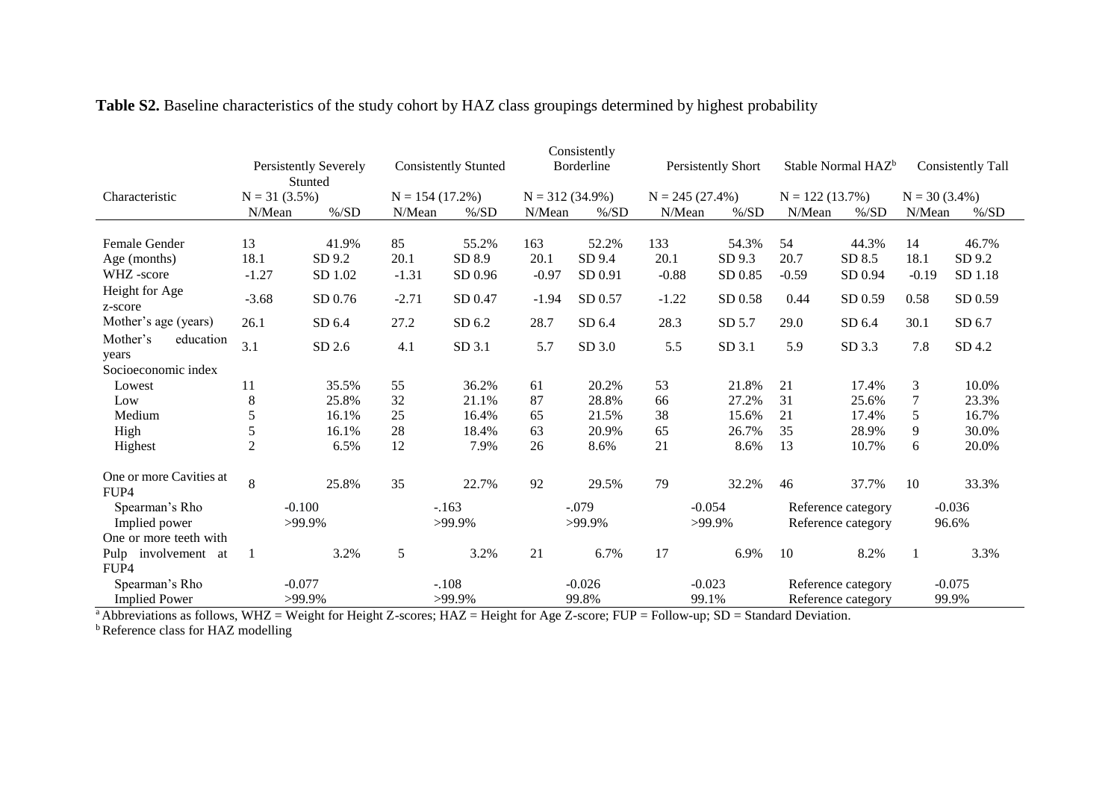|                                 | Consistently          |          |                             |          |                   |          |                           |          |                                |          |                          |          |
|---------------------------------|-----------------------|----------|-----------------------------|----------|-------------------|----------|---------------------------|----------|--------------------------------|----------|--------------------------|----------|
|                                 | Persistently Severely |          | <b>Consistently Stunted</b> |          | Borderline        |          | <b>Persistently Short</b> |          | Stable Normal HAZ <sup>b</sup> |          | <b>Consistently Tall</b> |          |
|                                 |                       | Stunted  |                             |          |                   |          |                           |          |                                |          |                          |          |
| Characteristic                  | $N = 31 (3.5%)$       |          | $N = 154(17.2\%)$           |          | $N = 312(34.9\%)$ |          | $N = 245(27.4\%)$         |          | $N = 122(13.7%)$               |          | $N = 30(3.4\%)$          |          |
|                                 | N/Mean                | $\%$ /SD | N/Mean                      | $\%$ /SD | N/Mean            | $\%$ /SD | N/Mean                    | $\%$ /SD | N/Mean                         | $\%$ /SD | N/Mean                   | $\%$ /SD |
|                                 |                       |          |                             |          |                   |          |                           |          |                                |          |                          |          |
| Female Gender                   | 13                    | 41.9%    | 85                          | 55.2%    | 163               | 52.2%    | 133                       | 54.3%    | 54                             | 44.3%    | 14                       | 46.7%    |
| Age (months)                    | 18.1                  | SD 9.2   | 20.1                        | SD 8.9   | 20.1              | SD 9.4   | 20.1                      | SD 9.3   | 20.7                           | SD 8.5   | 18.1                     | SD 9.2   |
| WHZ-score                       | $-1.27$               | SD 1.02  | $-1.31$                     | SD 0.96  | $-0.97$           | SD 0.91  | $-0.88$                   | SD 0.85  | $-0.59$                        | SD 0.94  | $-0.19$                  | SD 1.18  |
| Height for Age<br>z-score       | $-3.68$               | SD 0.76  | $-2.71$                     | SD 0.47  | $-1.94$           | SD 0.57  | $-1.22$                   | SD 0.58  | 0.44                           | SD 0.59  | 0.58                     | SD 0.59  |
| Mother's age (years)            | 26.1                  | SD 6.4   | 27.2                        | SD 6.2   | 28.7              | SD 6.4   | 28.3                      | SD 5.7   | 29.0                           | SD 6.4   | 30.1                     | SD 6.7   |
| Mother's<br>education<br>years  | 3.1                   | SD 2.6   | 4.1                         | SD 3.1   | 5.7               | SD 3.0   | 5.5                       | SD 3.1   | 5.9                            | SD 3.3   | 7.8                      | SD 4.2   |
| Socioeconomic index             |                       |          |                             |          |                   |          |                           |          |                                |          |                          |          |
| Lowest                          | 11                    | 35.5%    | 55                          | 36.2%    | 61                | 20.2%    | 53                        | 21.8%    | 21                             | 17.4%    | 3                        | 10.0%    |
| Low                             | 8                     | 25.8%    | 32                          | 21.1%    | 87                | 28.8%    | 66                        | 27.2%    | 31                             | 25.6%    | 7                        | 23.3%    |
| Medium                          | 5                     | 16.1%    | 25                          | 16.4%    | 65                | 21.5%    | 38                        | 15.6%    | 21                             | 17.4%    | 5                        | 16.7%    |
| High                            | 5                     | 16.1%    | 28                          | 18.4%    | 63                | 20.9%    | 65                        | 26.7%    | 35                             | 28.9%    | 9                        | 30.0%    |
| Highest                         | $\mathfrak{2}$        | 6.5%     | 12                          | 7.9%     | 26                | 8.6%     | 21                        | 8.6%     | 13                             | 10.7%    | 6                        | 20.0%    |
| One or more Cavities at<br>FUP4 | 8                     | 25.8%    | 35                          | 22.7%    | 92                | 29.5%    | 79                        | 32.2%    | 46                             | 37.7%    | 10                       | 33.3%    |
| Spearman's Rho                  | $-0.100$              |          | $-163$                      |          | $-.079$           |          | $-0.054$                  |          | Reference category             |          | $-0.036$                 |          |
| Implied power                   | >99.9%                |          | >99.9%                      |          | >99.9%            |          | >99.9%                    |          | Reference category             |          | 96.6%                    |          |
| One or more teeth with          |                       |          |                             |          |                   |          |                           |          |                                |          |                          |          |
| Pulp<br>involvement at          |                       | 3.2%     | 5                           | 3.2%     | 21                | 6.7%     | 17                        | 6.9%     | 10                             | 8.2%     | $\mathbf{1}$             | 3.3%     |
| FUP4                            |                       |          |                             |          |                   |          |                           |          |                                |          |                          |          |
| Spearman's Rho                  |                       | $-0.077$ | $-.108$                     |          |                   | $-0.026$ | $-0.023$                  |          | Reference category             |          |                          | $-0.075$ |
| <b>Implied Power</b>            | >99.9%                |          | >99.9%                      |          | 99.8%             |          | 99.1%                     |          | Reference category             |          | 99.9%                    |          |

# **Table S2.** Baseline characteristics of the study cohort by HAZ class groupings determined by highest probability

<sup>a</sup> Abbreviations as follows, WHZ = Weight for Height Z-scores; HAZ = Height for Age Z-score; FUP = Follow-up; SD = Standard Deviation.

**b** Reference class for HAZ modelling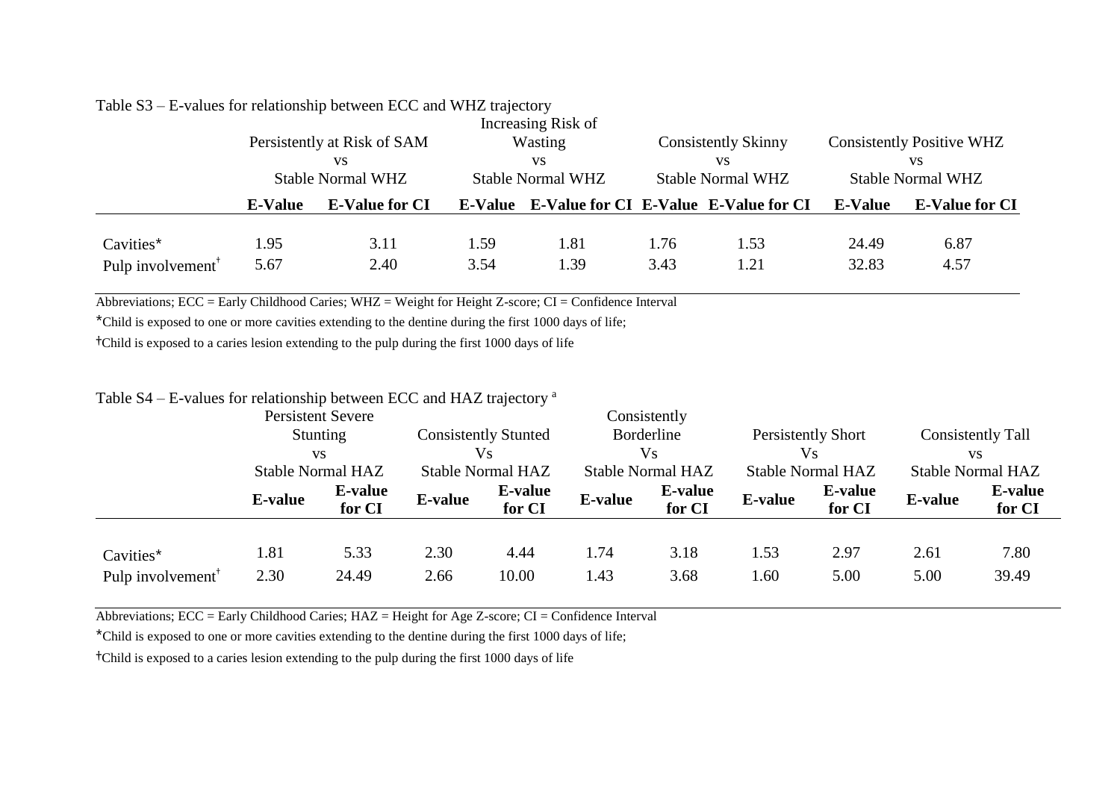|                                            |                                                                     | Persistently at Risk of SAM<br>VS |              | Increasing Risk of<br>Wasting<br><b>VS</b>                                |              | <b>Consistently Skinny</b><br>VS | <b>Consistently Positive WHZ</b><br>VS                              |              |  |
|--------------------------------------------|---------------------------------------------------------------------|-----------------------------------|--------------|---------------------------------------------------------------------------|--------------|----------------------------------|---------------------------------------------------------------------|--------------|--|
|                                            | <b>Stable Normal WHZ</b><br><b>E-Value for CI</b><br><b>E-Value</b> |                                   |              | <b>Stable Normal WHZ</b><br>E-Value E-Value for CI E-Value E-Value for CI |              | <b>Stable Normal WHZ</b>         | <b>Stable Normal WHZ</b><br><b>E-Value</b><br><b>E-Value for CI</b> |              |  |
| Cavities*<br>Pulp involvement <sup>†</sup> | 1.95<br>5.67                                                        | 3.11<br>2.40                      | 1.59<br>3.54 | 1.81<br>1.39                                                              | 1.76<br>3.43 | 1.53<br>1.21                     | 24.49<br>32.83                                                      | 6.87<br>4.57 |  |

#### Table S3 – E-values for relationship between ECC and WHZ trajectory

Abbreviations; ECC = Early Childhood Caries; WHZ = Weight for Height Z-score; CI = Confidence Interval

\*Child is exposed to one or more cavities extending to the dentine during the first 1000 days of life;

†Child is exposed to a caries lesion extending to the pulp during the first 1000 days of life

# Table S4 – E-values for relationship between ECC and HAZ trajectory <sup>a</sup>

|                                            | <b>Persistent Severe</b>                                 |                   |                                                               |                   |                                       | Consistently             |                         |                          |                                       |                          |
|--------------------------------------------|----------------------------------------------------------|-------------------|---------------------------------------------------------------|-------------------|---------------------------------------|--------------------------|-------------------------|--------------------------|---------------------------------------|--------------------------|
|                                            | <b>Stunting</b><br><b>VS</b><br><b>Stable Normal HAZ</b> |                   | <b>Consistently Stunted</b><br>Vs<br><b>Stable Normal HAZ</b> |                   | Borderline<br>Vs<br>Stable Normal HAZ |                          | Persistently Short      |                          | Consistently Tall                     |                          |
|                                            |                                                          |                   |                                                               |                   |                                       |                          | Vs<br>Stable Normal HAZ |                          | <b>VS</b><br><b>Stable Normal HAZ</b> |                          |
|                                            |                                                          |                   |                                                               |                   |                                       |                          |                         |                          |                                       |                          |
|                                            | <b>E-value</b>                                           | E-value<br>for CI | <b>E-value</b>                                                | E-value<br>for CI | E-value                               | <b>E-value</b><br>for CI | <b>E-value</b>          | <b>E-value</b><br>for CI | <b>E-value</b>                        | <b>E-value</b><br>for CI |
| Cavities*<br>Pulp involvement <sup>†</sup> | 1.81<br>2.30                                             | 5.33<br>24.49     | 2.30<br>2.66                                                  | 4.44<br>10.00     | 1.74<br>1.43                          | 3.18<br>3.68             | 1.53<br>1.60            | 2.97<br>5.00             | 2.61<br>5.00                          | 7.80<br>39.49            |

Abbreviations; ECC = Early Childhood Caries; HAZ = Height for Age Z-score; CI = Confidence Interval

\*Child is exposed to one or more cavities extending to the dentine during the first 1000 days of life;

†Child is exposed to a caries lesion extending to the pulp during the first 1000 days of life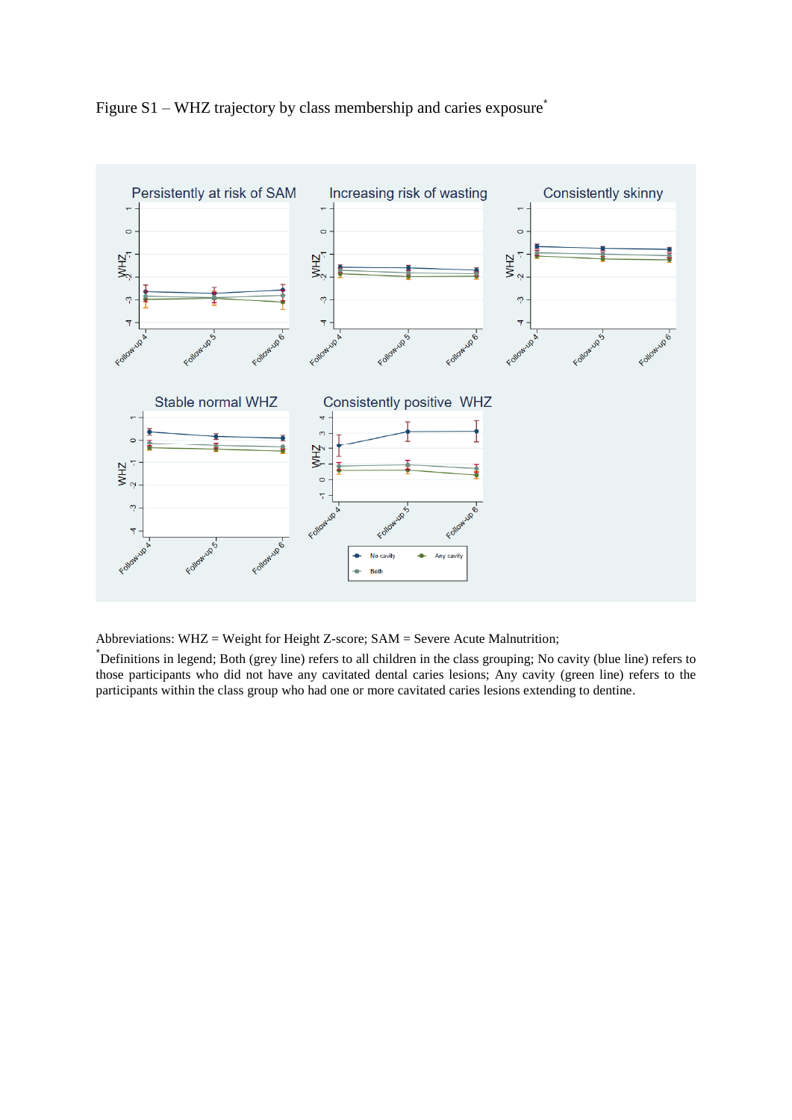



Abbreviations: WHZ = Weight for Height Z-score; SAM = Severe Acute Malnutrition;

\*Definitions in legend; Both (grey line) refers to all children in the class grouping; No cavity (blue line) refers to those participants who did not have any cavitated dental caries lesions; Any cavity (green line) refers to the participants within the class group who had one or more cavitated caries lesions extending to dentine.